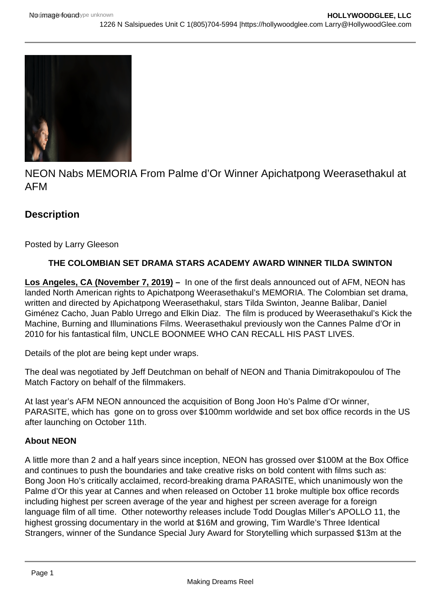

NEON Nabs MEMORIA From Palme d'Or Winner Apichatpong Weerasethakul at AFM

# **Description**

Posted by Larry Gleeson

## **THE COLOMBIAN SET DRAMA STARS ACADEMY AWARD WINNER TILDA SWINTON**

**Los Angeles, CA (November 7, 2019) –** In one of the first deals announced out of AFM, NEON has landed North American rights to Apichatpong Weerasethakul's MEMORIA. The Colombian set drama, written and directed by Apichatpong Weerasethakul, stars Tilda Swinton, Jeanne Balibar, Daniel Giménez Cacho, Juan Pablo Urrego and Elkin Diaz. The film is produced by Weerasethakul's Kick the Machine, Burning and Illuminations Films. Weerasethakul previously won the Cannes Palme d'Or in 2010 for his fantastical film, UNCLE BOONMEE WHO CAN RECALL HIS PAST LIVES.

Details of the plot are being kept under wraps.

The deal was negotiated by Jeff Deutchman on behalf of NEON and Thania Dimitrakopoulou of The Match Factory on behalf of the filmmakers.

At last year's AFM NEON announced the acquisition of Bong Joon Ho's Palme d'Or winner, PARASITE, which has gone on to gross over \$100mm worldwide and set box office records in the US after launching on October 11th.

### **About NEON**

A little more than 2 and a half years since inception, NEON has grossed over \$100M at the Box Office and continues to push the boundaries and take creative risks on bold content with films such as: Bong Joon Ho's critically acclaimed, record-breaking drama PARASITE, which unanimously won the Palme d'Or this year at Cannes and when released on October 11 broke multiple box office records including highest per screen average of the year and highest per screen average for a foreign language film of all time. Other noteworthy releases include Todd Douglas Miller's APOLLO 11, the highest grossing documentary in the world at \$16M and growing, Tim Wardle's Three Identical Strangers, winner of the Sundance Special Jury Award for Storytelling which surpassed \$13m at the